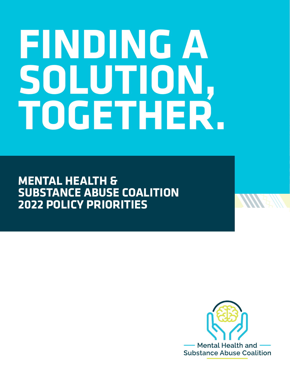# **FINDING A SOLUTION, TOGETHER.**

**MENTAL HEALTH & SUBSTANCE ABUSE COALITION 2022 POLICY PRIORITIES**

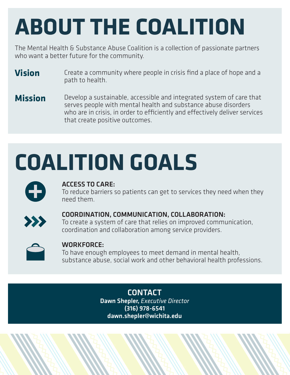# **ABOUT THE COALITION**

The Mental Health & Substance Abuse Coalition is a collection of passionate partners who want a better future for the community.

- **Vision** Create a community where people in crisis find a place of hope and a path to health.
- **Mission** Develop a sustainable, accessible and integrated system of care that serves people with mental health and substance abuse disorders who are in crisis, in order to efficiently and effectively deliver services that create positive outcomes.

# **COALITION GOALS**



### ACCESS TO CARE:

To reduce barriers so patients can get to services they need when they need them.



### COORDINATION, COMMUNICATION, COLLABORATION:

To create a system of care that relies on improved communication, coordination and collaboration among service providers.



### WORKFORCE:

To have enough employees to meet demand in mental health, substance abuse, social work and other behavioral health professions.

> **CONTACT** Dawn Shepler, *Executive Director* (316) 978-6541 dawn.shepler@wichita.edu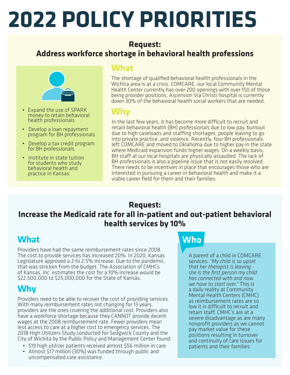# **2022 POLICY PRIORITIES**

### **Request: Address workforce shortage in behavioral health professions**



- Expand the use of SPARK money to retain behavioral health professionals
- Develop a loan repayment program for BH professionals
- Develop a tax credit program for BH professionals
- Institute in state tuition for students who study behavioral health and practice in Kansas

## **What**

The shortage of qualified behavioral health professionals in the Wichita area is at a crisis. COMCARE, our local Community Mental Health Center currently has over 200 openings with over 150 of those being provider positions. Ascension Via Christi hospital is currently down 30% of the behavioral health social workers that are needed.

# **Why**

In the last few years, it has become more difficult to recruit and retain behavioral health (BH) professionals due to low pay, burnout due to high caseloads and staffing shortages, people leaving to go into private practice, and violence. Recently, four BH professionals left COMCARE and moved to Oklahoma due to higher pay in the state where Medicaid expansion funds higher wages. On a weekly basis, BH staff at our local hospitals are physically assaulted. The lack of BH professionals is also a pipeline issue that is not easily resolved. There needs to be incentives in place that encourages those who are interested in pursuing a career in behavioral health and make it a viable career field for them and their families.

## **Request: Increase the Medicaid rate for all in-patient and out-patient behavioral health services by 10%**

# **What Who**

Providers have had the same reimbursement rates since 2008. The cost to provide services has increased 20%. In 2020, Kansas Legislature approved a 2 to 2.5% increase. Due to the pandemic, that was stricken from the budget. The Association of CMHCs of Kansas, Inc. estimates the cost for a 10% increase would be \$22,500,000 to \$25,000,000 for the State of Kansas.

# **Why**

Providers need to be able to recover the cost of providing services. With many reimbursement rates not changing for 13 years, providers are the ones covering the additional cost. Providers also have a workforce shortage because they CANNOT provide decent wages at the 2008 reimbursement rate. Fewer providers mean less access to care at a higher cost to emergency services. The 2018 High Utilizers Study conducted for Sedgwick County and the City of Wichita by the Public Policy and Management Center found:

- 519 high utilizer patients received almost \$56 million in care
- Almost \$17 million (30%) was funded through public and uncompensated care assistance

A parent of a child in COMCARE services: *"My child is so upset that her therapist is leaving she is the first person my child has connected with and now we have to start over."* This is a daily reality at Community Mental Health Centers (CMHC) as reimbursement rates are so low it is difficult to recruit and retain staff. CMHC's are at a severe disadvantage as are many nonprofit providers as we cannot pay market value for these positions resulting in turnover and continuity of care issues for patients and their families.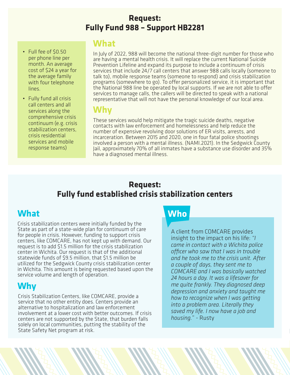### **Request: Fully Fund 988 – Support HB2281**

- Full fee of \$0.50 per phone line per month. An average cost of \$24 a year for the average family with four telephone lines.
- Fully fund all crisis call centers and all services along the comprehensive crisis continuum (e.g. crisis stabilization centers, crisis residential services and mobile response teams)

### **What**

In July of 2022, 988 will become the national three-digit number for those who are having a mental health crisis. It will replace the current National Suicide Prevention Lifeline and expand its purpose to include a continuum of crisis services that include 24/7 call centers that answer 988 calls locally (someone to talk to), mobile response teams (someone to respond) and crisis stabilization programs (somewhere to go). To offer personalized service, it is important that the National 988 line be operated by local supports. If we are not able to offer services to manage calls, the callers will be directed to speak with a national representative that will not have the personal knowledge of our local area.

# **Why**

These services would help mitigate the tragic suicide deaths, negative contacts with law enforcement and homelessness and help reduce the number of expensive revolving door solutions of ER visits, arrests, and incarceration. Between 2015 and 2020, one in four fatal police shootings involved a person with a mental illness. (NAMI.2021). In the Sedgwick County Jail, approximately 70% of all inmates have a substance use disorder and 35% have a diagnosed mental illness.

### **Request: Fully fund established crisis stabilization centers**

# **What Who**

Crisis stabilization centers were initially funded by the State as part of a state-wide plan for continuum of care for people in crisis. However, funding to support crisis centers, like COMCARE, has not kept up with demand. Our request is to add \$1.5 million for the crisis stabilization center in Wichita. Our request is that of the additional statewide funds of \$9.5 million, that \$1.5 million be utilized for the Sedgwick County crisis stabilization center in Wichita. This amount is being requested based upon the service volume and length of operation.

# **Why**

Crisis Stabilization Centers, like COMCARE, provide a service that no other entity does. Centers provide an alternative to hospitalization and law enforcement involvement at a lower cost with better outcomes. If crisis centers are not supported by the State, that burden falls solely on local communities, putting the stability of the State Safety Net program at risk.

A client from COMCARE provides insight to the impact on his life: *"I came in contact with a Wichita police officer who saw that I was in trouble and he took me to the crisis unit. After a couple of days, they sent me to COMCARE and I was basically watched 24 hours a day. It was a lifesaver for me quite frankly. They diagnosed deep depression and anxiety and taught me how to recognize when I was getting into a problem area. Literally they saved my life. I now have a job and housing.*" - Rusty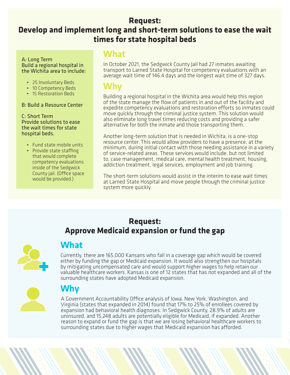### **Request:**

## **Develop and implement long and short-term solutions to ease the wait times for state hospital beds**

### A: Long Term Build a regional hospital in the Wichita area to include:

- 25 Involuntary Beds
- 10 Competency Beds
- 15 Restoration Beds

### B: Build a Resource Center

C: Short Term Provide solutions to ease the wait times for state hospital beds.

- Fund state mobile units
- Provide state staffing that would complete competency evaluations inside of the Sedgwick County jail. (Office space would be provided.)

### **What**

In October 2021, the Sedgwick County Jail had 27 inmates awaiting transport to Larned State Hospital for competency evaluations with an average wait time of 146.4 days and the longest wait time of 327 days.

### **Why**

Building a regional hospital in the Wichita area would help this region of the state manage the flow of patients in and out of the facility and expedite competency evaluations and restoration efforts so inmates could move quickly through the criminal justice system. This solution would also eliminate long travel times reducing costs and providing a safer alternative for both the inmate and those transporting them.

Another long-term solution that is needed in Wichita, is a one-stop resource center. This would allow providers to have a presence, at the minimum, during initial contact with those needing assistance in a variety of service-related areas. These services would include, but not limited to, case management, medical care, mental health treatment, housing, addiction treatment, legal services, employment and job training.

The short-term solutions would assist in the interim to ease wait times at Larned State Hospital and move people through the criminal justice system more quickly.

### **Request: Approve Medicaid expansion or fund the gap**



## **What**

Currently, there are 165,000 Kansans who fall in a coverage gap which would be covered either by funding the gap or Medicaid expansion. It would also strengthen our hospitals by mitigating uncompensated care and would support higher wages to help retain our valuable healthcare workers. Kansas is one of 12 states that has not expanded and all of the surrounding states have adopted Medicaid expansion.



## **Why**

A Government Accountability Office analysis of Iowa, New York, Washington, and Virginia (states that expanded in 2014) found that 17% to 25% of enrollees covered by expansion had behavioral health diagnoses. In Sedgwick County, 28.9% of adults are uninsured, and 15,248 adults are potentially eligible for Medicaid, if expanded. Another reason to expand or fund the gap is that we are losing behavioral healthcare workers to surrounding states due to higher wages that Medicaid expansion has afforded.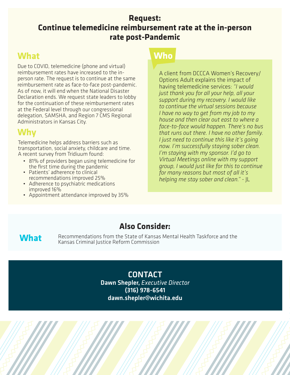### **Request: Continue telemedicine reimbursement rate at the in-person rate post-Pandemic**

# **What Who**

Due to COVID, telemedicine (phone and virtual) reimbursement rates have increased to the inperson rate. The request is to continue at the same reimbursement rate as face-to-face post-pandemic. As of now, it will end when the National Disaster Declaration ends. We request state leaders to lobby for the continuation of these reimbursement rates at the Federal level through our congressional delegation, SAMSHA, and Region 7 CMS Regional Administrators in Kansas City.

# **Why**

Telemedicine helps address barriers such as transportation, social anxiety, childcare and time. A recent survey from Tridiuum found:

- 81% of providers began using telemedicine for
- the first time during the pandemic<br>• Patients' adherence to clinical<br>recommendations improved 25%
- Adherence to psychiatric medications
- improved 16% Appointment attendance improved by 35%

A client from DCCCA Women's Recovery/ Options Adult explains the impact of having telemedicine services: *"I would just thank you for all your help, all your support during my recovery. I would like to continue the virtual sessions because I have no way to get from my job to my house and then clear out east to where a face-to-face would happen. There's no bus that runs out there. I have no other family. I just need to continue this like it's going now. I'm successfully staying sober clean. I'm staying with my sponsor. I'd go to Virtual Meetings online with my support group, I would just like for this to continue for many reasons but most of all it's helping me stay sober and clean."* - JL

## **Also Consider:**

What Recommendations from the State of Kansas Mental Health Taskforce and the Kansas Criminal Justice Reform Commission

**CONTACT** Dawn Shepler, *Executive Director* (316) 978-6541 dawn.shepler@wichita.edu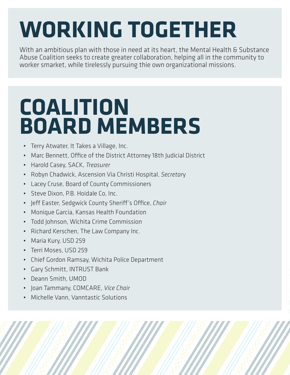# **WORKING TOGETHER**

With an ambitious plan with those in need at its heart, the Mental Health & Substance Abuse Coalition seeks to create greater collaboration, helping all in the community to worker smarket, while tirelessly pursuing thie own organizational missions.

# **COALITION BOARD MEMBERS**

- Terry Atwater, It Takes a Village, Inc.
- Marc Bennett, Office of the District Attorney 18th Judicial District
- Harold Casey, SACK, *Treasurer*
- Robyn Chadwick, Ascension Via Christi Hospital, *Secretar*y
- Lacey Cruse, Board of County Commissioners
- Steve Dixon, P.B. Hoidale Co, Inc.
- Jeff Easter, Sedgwick County Sheriff's Office, *Chair*
- Monique Garcia, Kansas Health Foundation
- Todd Johnson, Wichita Crime Commission
- Richard Kerschen, The Law Company Inc.
- Maria Kury, USD 259
- Terri Moses, USD 259
- Chief Gordon Ramsay, Wichita Police Department
- Gary Schmitt, INTRUST Bank
- Deann Smith, UMOD
- Joan Tammany, COMCARE, *Vice Chair*
- Michelle Vann, Vanntastic Solutions